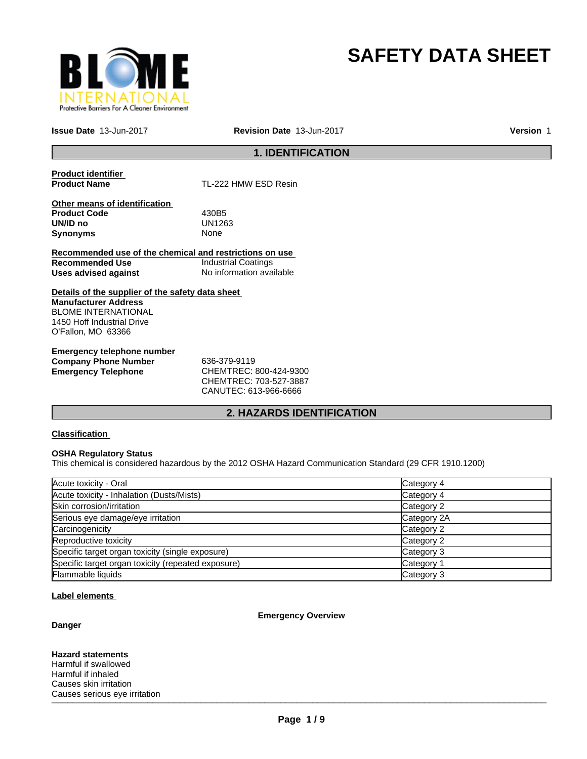

# **SAFETY DATA SHEET**

**Issue Date** 13-Jun-2017

**Revision Date** 13-Jun-2017 **Version** 1

# **1. IDENTIFICATION**

**Product identifier** 

**TL-222 HMW ESD Resin** 

**Other means of identification Product Code** 430B5 **UN/ID no** UN12<br>**Synonyms** None **Synonyms** 

**Recommended use of the chemical and restrictions on use Recommended Use Industrial Coatings**<br> **Uses advised against Internation** No information available **Uses advised against** 

**Details of the supplier of the safety data sheet Manufacturer Address** BLOME INTERNATIONAL 1450 Hoff Industrial Drive O'Fallon, MO 63366

**Emergency telephone number Company Phone Number** 636-379-9119 **Emergency Telephone** CHEMTREC: 800-424-9300

CHEMTREC: 703-527-3887 CANUTEC: 613-966-6666

# **2. HAZARDS IDENTIFICATION**

# **Classification**

#### **OSHA Regulatory Status**

This chemical is considered hazardous by the 2012 OSHA Hazard Communication Standard (29 CFR 1910.1200)

| Acute toxicity - Oral                              | Category 4  |
|----------------------------------------------------|-------------|
| Acute toxicity - Inhalation (Dusts/Mists)          | Category 4  |
| Skin corrosion/irritation                          | Category 2  |
| Serious eye damage/eye irritation                  | Category 2A |
| Carcinogenicity                                    | Category 2  |
| Reproductive toxicity                              | Category 2  |
| Specific target organ toxicity (single exposure)   | Category 3  |
| Specific target organ toxicity (repeated exposure) | Category 1  |
| Flammable liquids                                  | Category 3  |

## **Label elements**

## **Danger**

**Emergency Overview**

 $\blacksquare$ **Hazard statements** Harmful if swallowed Harmful if inhaled Causes skin irritation Causes serious eye irritation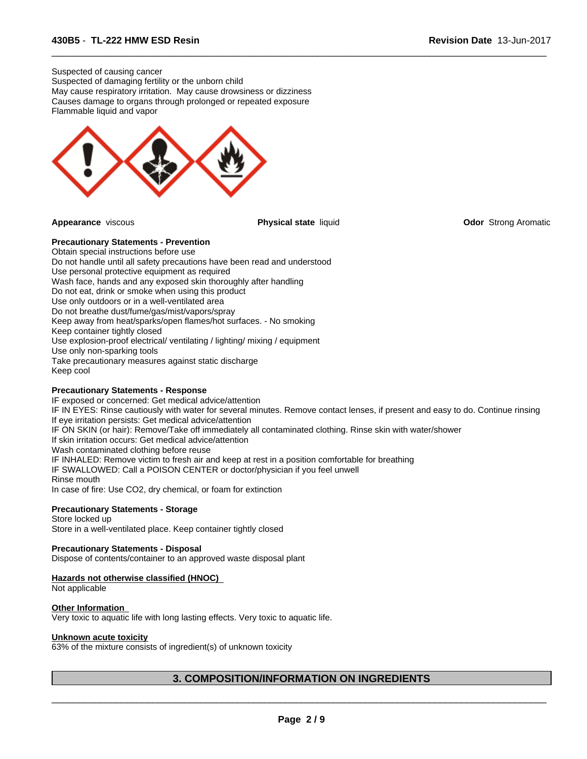Suspected of causing cancer Suspected of damaging fertility or the unborn child May cause respiratory irritation. May cause drowsiness or dizziness Causes damage to organs through prolonged or repeated exposure Flammable liquid and vapor



 $\overline{\phantom{a}}$  ,  $\overline{\phantom{a}}$  ,  $\overline{\phantom{a}}$  ,  $\overline{\phantom{a}}$  ,  $\overline{\phantom{a}}$  ,  $\overline{\phantom{a}}$  ,  $\overline{\phantom{a}}$  ,  $\overline{\phantom{a}}$  ,  $\overline{\phantom{a}}$  ,  $\overline{\phantom{a}}$  ,  $\overline{\phantom{a}}$  ,  $\overline{\phantom{a}}$  ,  $\overline{\phantom{a}}$  ,  $\overline{\phantom{a}}$  ,  $\overline{\phantom{a}}$  ,  $\overline{\phantom{a}}$ 

**Appearance** viscous **Physical state** liquid **Odor** Strong Aromatic

# **Precautionary Statements - Prevention**

Obtain special instructions before use Do not handle until all safety precautions have been read and understood Use personal protective equipment as required Wash face, hands and any exposed skin thoroughly after handling Do not eat, drink or smoke when using this product Use only outdoors or in a well-ventilated area Do not breathe dust/fume/gas/mist/vapors/spray Keep away from heat/sparks/open flames/hot surfaces. - No smoking Keep container tightly closed Use explosion-proof electrical/ ventilating / lighting/ mixing / equipment Use only non-sparking tools Take precautionary measures against static discharge Keep cool

#### **Precautionary Statements - Response**

IF exposed or concerned: Get medical advice/attention IF IN EYES: Rinse cautiously with water for several minutes. Remove contact lenses, if present and easy to do. Continue rinsing If eye irritation persists: Get medical advice/attention IF ON SKIN (or hair): Remove/Take off immediately all contaminated clothing. Rinse skin with water/shower If skin irritation occurs: Get medical advice/attention Wash contaminated clothing before reuse IF INHALED: Remove victim to fresh air and keep at rest in a position comfortable for breathing IF SWALLOWED: Call a POISON CENTER or doctor/physician if you feel unwell Rinse mouth In case of fire: Use CO2, dry chemical, or foam for extinction

## **Precautionary Statements - Storage**

Store locked up Store in a well-ventilated place. Keep container tightly closed

#### **Precautionary Statements - Disposal**

Dispose of contents/container to an approved waste disposal plant

#### **Hazards not otherwise classified (HNOC)**

Not applicable

#### **Other Information**

Very toxic to aquatic life with long lasting effects. Very toxic to aquatic life.

# **Unknown acute toxicity**

63% of the mixture consists of ingredient(s) of unknown toxicity

# **3. COMPOSITION/INFORMATION ON INGREDIENTS**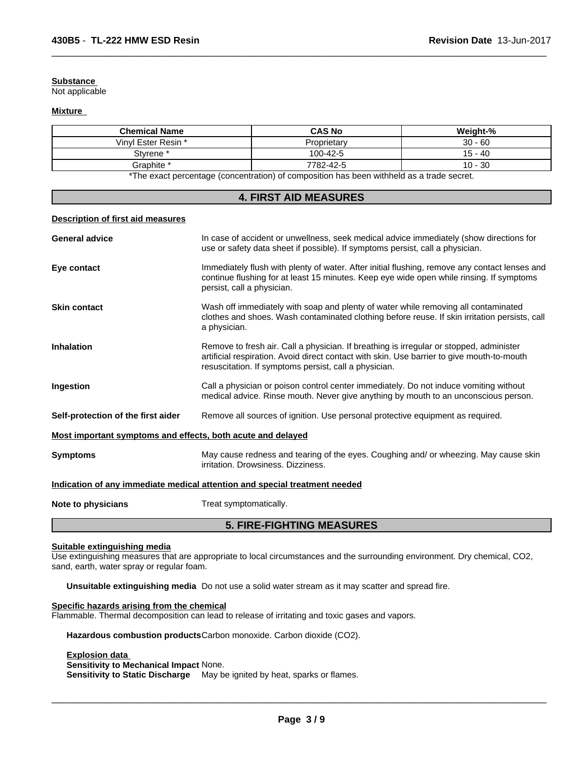#### **Substance**

Not applicable

#### **Mixture**

| <b>Chemical Name</b> | <b>CAS No</b>                                                                                                 | Weight-%  |
|----------------------|---------------------------------------------------------------------------------------------------------------|-----------|
| Vinyl Ester Resin *  | Proprietarv                                                                                                   | $30 - 60$ |
| Stvrene <sup>*</sup> | 100-42-5                                                                                                      | 15 - 40   |
| Graphite *           | 7782-42-5                                                                                                     | $10 - 30$ |
|                      | . ₩The concert a concertainty for a contaction) of contact this action to a contillated to a standard concert |           |

 $\overline{\phantom{a}}$  ,  $\overline{\phantom{a}}$  ,  $\overline{\phantom{a}}$  ,  $\overline{\phantom{a}}$  ,  $\overline{\phantom{a}}$  ,  $\overline{\phantom{a}}$  ,  $\overline{\phantom{a}}$  ,  $\overline{\phantom{a}}$  ,  $\overline{\phantom{a}}$  ,  $\overline{\phantom{a}}$  ,  $\overline{\phantom{a}}$  ,  $\overline{\phantom{a}}$  ,  $\overline{\phantom{a}}$  ,  $\overline{\phantom{a}}$  ,  $\overline{\phantom{a}}$  ,  $\overline{\phantom{a}}$ 

\*The exact percentage (concentration) of composition has been withheld as a trade secret.

| <b>4. FIRST AID MEASURES</b>                                |                                                                                                                                                                                                                                                |  |
|-------------------------------------------------------------|------------------------------------------------------------------------------------------------------------------------------------------------------------------------------------------------------------------------------------------------|--|
| Description of first aid measures                           |                                                                                                                                                                                                                                                |  |
| <b>General advice</b>                                       | In case of accident or unwellness, seek medical advice immediately (show directions for<br>use or safety data sheet if possible). If symptoms persist, call a physician.                                                                       |  |
| Eye contact                                                 | Immediately flush with plenty of water. After initial flushing, remove any contact lenses and<br>continue flushing for at least 15 minutes. Keep eye wide open while rinsing. If symptoms<br>persist, call a physician.                        |  |
| <b>Skin contact</b>                                         | Wash off immediately with soap and plenty of water while removing all contaminated<br>clothes and shoes. Wash contaminated clothing before reuse. If skin irritation persists, call<br>a physician.                                            |  |
| <b>Inhalation</b>                                           | Remove to fresh air. Call a physician. If breathing is irregular or stopped, administer<br>artificial respiration. Avoid direct contact with skin. Use barrier to give mouth-to-mouth<br>resuscitation. If symptoms persist, call a physician. |  |
| Ingestion                                                   | Call a physician or poison control center immediately. Do not induce vomiting without<br>medical advice. Rinse mouth. Never give anything by mouth to an unconscious person.                                                                   |  |
| Self-protection of the first aider                          | Remove all sources of ignition. Use personal protective equipment as required.                                                                                                                                                                 |  |
| Most important symptoms and effects, both acute and delayed |                                                                                                                                                                                                                                                |  |
| <b>Symptoms</b>                                             | May cause redness and tearing of the eyes. Coughing and/ or wheezing. May cause skin<br>irritation. Drowsiness. Dizziness.                                                                                                                     |  |
|                                                             | Indication of any immediate medical attention and special treatment needed                                                                                                                                                                     |  |
| Note to physicians                                          | Treat symptomatically.                                                                                                                                                                                                                         |  |

# **5. FIRE-FIGHTING MEASURES**

# **Suitable extinguishing media**

Use extinguishing measures that are appropriate to local circumstances and the surrounding environment. Dry chemical, CO2, sand, earth, water spray or regular foam.

**Unsuitable extinguishing media** Do not use a solid water stream as it may scatter and spread fire.

# **Specific hazards arising from the chemical**

Flammable. Thermal decomposition can lead to release of irritating and toxic gases and vapors.

**Hazardous combustion products**Carbon monoxide. Carbon dioxide (CO2).

# **Explosion data**

**Sensitivity to Mechanical Impact** None.

**Sensitivity to Static Discharge** May be ignited by heat, sparks or flames.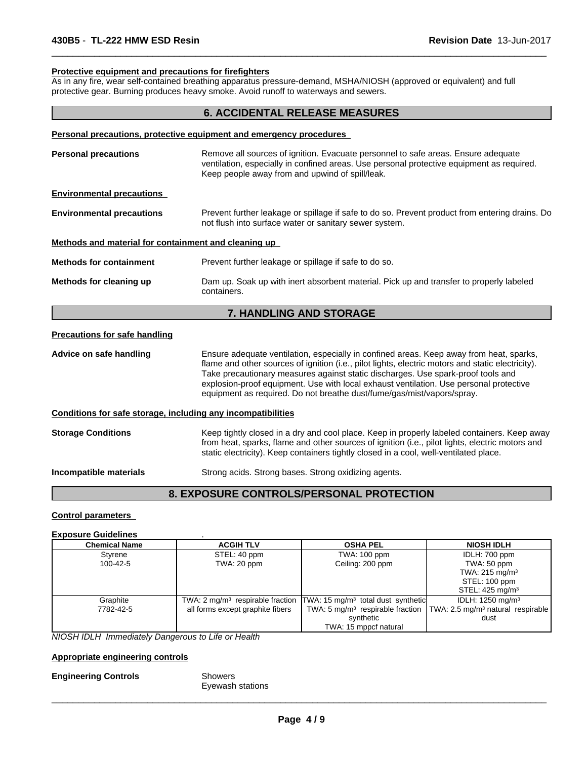#### **Protective equipment and precautions for firefighters**

As in any fire, wear self-contained breathing apparatus pressure-demand, MSHA/NIOSH (approved or equivalent) and full protective gear. Burning produces heavy smoke. Avoid runoff to waterways and sewers.

# **6. ACCIDENTAL RELEASE MEASURES**

 $\overline{\phantom{a}}$  ,  $\overline{\phantom{a}}$  ,  $\overline{\phantom{a}}$  ,  $\overline{\phantom{a}}$  ,  $\overline{\phantom{a}}$  ,  $\overline{\phantom{a}}$  ,  $\overline{\phantom{a}}$  ,  $\overline{\phantom{a}}$  ,  $\overline{\phantom{a}}$  ,  $\overline{\phantom{a}}$  ,  $\overline{\phantom{a}}$  ,  $\overline{\phantom{a}}$  ,  $\overline{\phantom{a}}$  ,  $\overline{\phantom{a}}$  ,  $\overline{\phantom{a}}$  ,  $\overline{\phantom{a}}$ 

| <b>Personal precautions</b>                          | Remove all sources of ignition. Evacuate personnel to safe areas. Ensure adequate<br>ventilation, especially in confined areas. Use personal protective equipment as required.<br>Keep people away from and upwind of spill/leak. |
|------------------------------------------------------|-----------------------------------------------------------------------------------------------------------------------------------------------------------------------------------------------------------------------------------|
| <b>Environmental precautions</b>                     |                                                                                                                                                                                                                                   |
| <b>Environmental precautions</b>                     | Prevent further leakage or spillage if safe to do so. Prevent product from entering drains. Do<br>not flush into surface water or sanitary sewer system.                                                                          |
| Methods and material for containment and cleaning up |                                                                                                                                                                                                                                   |
| <b>Methods for containment</b>                       | Prevent further leakage or spillage if safe to do so.                                                                                                                                                                             |
| Methods for cleaning up                              | Dam up. Soak up with inert absorbent material. Pick up and transfer to properly labeled<br>containers.                                                                                                                            |
|                                                      | <b>7. HANDLING AND STORAGE</b>                                                                                                                                                                                                    |

#### **Precautions for safe handling**

**Advice on safe handling** Ensure adequate ventilation, especially in confined areas. Keep away from heat, sparks, flame and other sources of ignition (i.e., pilot lights, electric motors and static electricity). Take precautionary measures against static discharges. Use spark-proof tools and explosion-proof equipment. Use with local exhaust ventilation. Use personal protective equipment as required. Do not breathe dust/fume/gas/mist/vapors/spray.

#### **Conditions for safe storage, including any incompatibilities**

**Storage Conditions** Keep tightly closed in a dry and cool place. Keep in properly labeled containers. Keep away from heat, sparks, flame and other sources of ignition (i.e., pilot lights, electric motors and static electricity). Keep containers tightly closed in a cool, well-ventilated place.

**Incompatible materials** Strong acids. Strong bases. Strong oxidizing agents.

# **8. EXPOSURE CONTROLS/PERSONAL PROTECTION**

#### **Control parameters**

# **Exposure Guidelines** .

| <b>Chemical Name</b> | <b>ACGIH TLV</b>                 | <b>OSHA PEL</b>                                                                            | <b>NIOSH IDLH</b>                                                                            |
|----------------------|----------------------------------|--------------------------------------------------------------------------------------------|----------------------------------------------------------------------------------------------|
| Styrene              | STEL: 40 ppm                     | TWA: 100 ppm                                                                               | IDLH: 700 ppm                                                                                |
| 100-42-5             | TWA: 20 ppm                      | Ceiling: 200 ppm                                                                           | TWA: 50 ppm                                                                                  |
|                      |                                  |                                                                                            | TWA: 215 mg/m <sup>3</sup>                                                                   |
|                      |                                  |                                                                                            | STEL: 100 ppm                                                                                |
|                      |                                  |                                                                                            | STEL: $425 \text{ mg/m}^3$                                                                   |
| Graphite             |                                  | TWA: $2 \text{ mg/m}^3$ respirable fraction TWA: 15 mg/m <sup>3</sup> total dust synthetic | IDLH: 1250 mg/m <sup>3</sup>                                                                 |
| 7782-42-5            | all forms except graphite fibers |                                                                                            | TWA: 5 mg/m <sup>3</sup> respirable fraction   TWA: 2.5 mg/m <sup>3</sup> natural respirable |
|                      |                                  | synthetic                                                                                  | dust                                                                                         |
|                      |                                  | TWA: 15 mppcf natural                                                                      |                                                                                              |

*NIOSH IDLH Immediately Dangerous to Life or Health*

#### **Appropriate engineering controls**

**Engineering Controls** Showers

Eyewash stations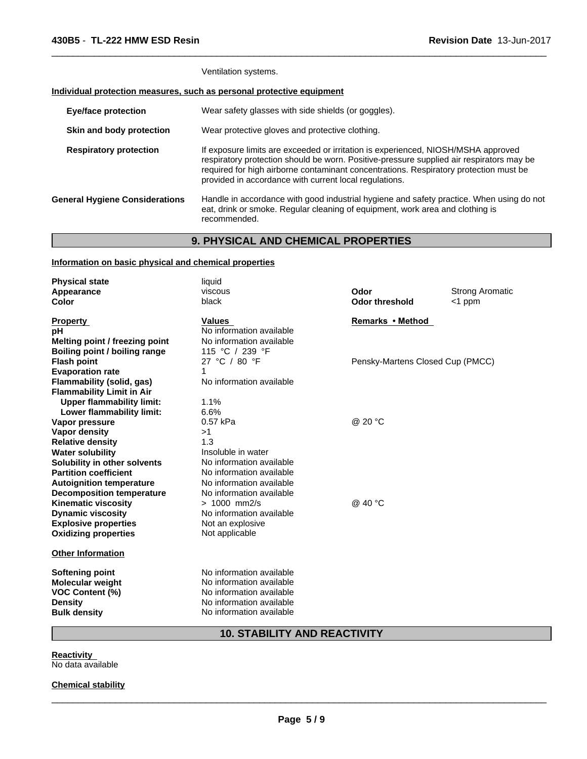Ventilation systems.

# **Individual protection measures, such as personal protective equipment**

| <b>Eye/face protection</b>            | Wear safety glasses with side shields (or goggles).                                                                                                                                                                                                                                                                              |
|---------------------------------------|----------------------------------------------------------------------------------------------------------------------------------------------------------------------------------------------------------------------------------------------------------------------------------------------------------------------------------|
| Skin and body protection              | Wear protective gloves and protective clothing.                                                                                                                                                                                                                                                                                  |
| <b>Respiratory protection</b>         | If exposure limits are exceeded or irritation is experienced, NIOSH/MSHA approved<br>respiratory protection should be worn. Positive-pressure supplied air respirators may be<br>required for high airborne contaminant concentrations. Respiratory protection must be<br>provided in accordance with current local regulations. |
| <b>General Hygiene Considerations</b> | Handle in accordance with good industrial hygiene and safety practice. When using do not<br>eat, drink or smoke. Regular cleaning of equipment, work area and clothing is<br>recommended.                                                                                                                                        |

 $\overline{\phantom{a}}$  ,  $\overline{\phantom{a}}$  ,  $\overline{\phantom{a}}$  ,  $\overline{\phantom{a}}$  ,  $\overline{\phantom{a}}$  ,  $\overline{\phantom{a}}$  ,  $\overline{\phantom{a}}$  ,  $\overline{\phantom{a}}$  ,  $\overline{\phantom{a}}$  ,  $\overline{\phantom{a}}$  ,  $\overline{\phantom{a}}$  ,  $\overline{\phantom{a}}$  ,  $\overline{\phantom{a}}$  ,  $\overline{\phantom{a}}$  ,  $\overline{\phantom{a}}$  ,  $\overline{\phantom{a}}$ 

# **9. PHYSICAL AND CHEMICAL PROPERTIES**

# **Information on basic physical and chemical properties**

| <b>Physical state</b>            | liquid                   |                                  |                        |
|----------------------------------|--------------------------|----------------------------------|------------------------|
| Appearance                       | viscous                  | Odor                             | <b>Strong Aromatic</b> |
| <b>Color</b>                     | black                    | <b>Odor threshold</b>            | $<$ 1 ppm              |
| <b>Property</b>                  | <b>Values</b>            | Remarks • Method                 |                        |
| рH                               | No information available |                                  |                        |
| Melting point / freezing point   | No information available |                                  |                        |
| Boiling point / boiling range    | 115 °C / 239 °F          |                                  |                        |
| <b>Flash point</b>               | 27 °C / 80 °F            | Pensky-Martens Closed Cup (PMCC) |                        |
| <b>Evaporation rate</b>          | 1                        |                                  |                        |
| Flammability (solid, gas)        | No information available |                                  |                        |
| <b>Flammability Limit in Air</b> |                          |                                  |                        |
| <b>Upper flammability limit:</b> | 1.1%                     |                                  |                        |
| Lower flammability limit:        | 6.6%                     |                                  |                        |
| Vapor pressure                   | 0.57 kPa                 | @ 20 °C                          |                        |
| Vapor density                    | >1                       |                                  |                        |
| <b>Relative density</b>          | 1.3                      |                                  |                        |
| <b>Water solubility</b>          | Insoluble in water       |                                  |                        |
| Solubility in other solvents     | No information available |                                  |                        |
| <b>Partition coefficient</b>     | No information available |                                  |                        |
| <b>Autoignition temperature</b>  | No information available |                                  |                        |
| <b>Decomposition temperature</b> | No information available |                                  |                        |
| <b>Kinematic viscosity</b>       | $> 1000$ mm2/s           | @ 40 °C                          |                        |
| <b>Dynamic viscosity</b>         | No information available |                                  |                        |
| <b>Explosive properties</b>      | Not an explosive         |                                  |                        |
| <b>Oxidizing properties</b>      | Not applicable           |                                  |                        |
| <b>Other Information</b>         |                          |                                  |                        |
| <b>Softening point</b>           | No information available |                                  |                        |
| <b>Molecular weight</b>          | No information available |                                  |                        |
| <b>VOC Content (%)</b>           | No information available |                                  |                        |
| <b>Density</b>                   | No information available |                                  |                        |
| <b>Bulk density</b>              | No information available |                                  |                        |
|                                  |                          |                                  |                        |

# **10. STABILITY AND REACTIVITY**

**Reactivity**  No data available

# **Chemical stability**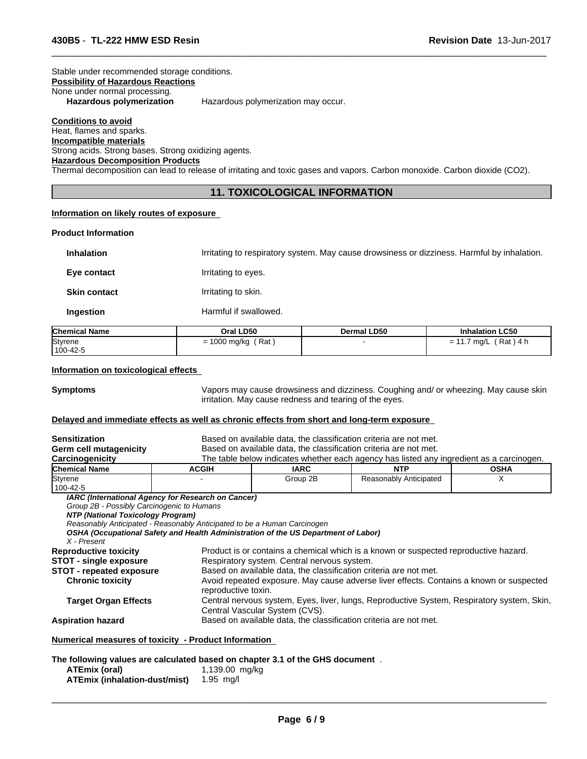#### Stable under recommended storage conditions. **Possibility of Hazardous Reactions** None under normal processing.<br>Hazardous polymerization Hazardous polymerization may occur.

**Conditions to avoid** Heat, flames and sparks. **Incompatible materials** Strong acids. Strong bases. Strong oxidizing agents. **Hazardous Decomposition Products**

Thermal decomposition can lead to release of irritating and toxic gases and vapors. Carbon monoxide. Carbon dioxide (CO2).

# **11. TOXICOLOGICAL INFORMATION**

 $\overline{\phantom{a}}$  ,  $\overline{\phantom{a}}$  ,  $\overline{\phantom{a}}$  ,  $\overline{\phantom{a}}$  ,  $\overline{\phantom{a}}$  ,  $\overline{\phantom{a}}$  ,  $\overline{\phantom{a}}$  ,  $\overline{\phantom{a}}$  ,  $\overline{\phantom{a}}$  ,  $\overline{\phantom{a}}$  ,  $\overline{\phantom{a}}$  ,  $\overline{\phantom{a}}$  ,  $\overline{\phantom{a}}$  ,  $\overline{\phantom{a}}$  ,  $\overline{\phantom{a}}$  ,  $\overline{\phantom{a}}$ 

# **Information on likely routes of exposure**

#### **Product Information**

**Inhalation** Irritating to respiratory system. May cause drowsiness or dizziness. Harmful by inhalation.

**Eye contact I**rritating to eyes.

**Skin contact Irritating to skin.** 

**Ingestion** Harmful if swallowed.

| <b>Chemical Name</b> | Oral LD50                  | Dermal LD50 | <b>Inhalation LC50</b>          |
|----------------------|----------------------------|-------------|---------------------------------|
| Styrene<br>100-42-5  | ' Rat<br>1000 mg/kg<br>$=$ |             | \ 4 h<br>Rat)<br>ma/L<br>-<br>- |

#### **Information on toxicological effects**

**ATEmix (inhalation-dust/mist)** 1.95 mg/l

**Symptoms** Vapors may cause drowsiness and dizziness. Coughing and/ or wheezing. May cause skin irritation. May cause redness and tearing of the eyes.

#### **Delayed and immediate effects as well as chronic effects from short and long-term exposure**

| <b>Sensitization</b><br>Germ cell mutagenicity                                                 |                                                                                                                                                                                                                      |                                                                                                                                     | Based on available data, the classification criteria are not met.<br>Based on available data, the classification criteria are not met. |             |  |
|------------------------------------------------------------------------------------------------|----------------------------------------------------------------------------------------------------------------------------------------------------------------------------------------------------------------------|-------------------------------------------------------------------------------------------------------------------------------------|----------------------------------------------------------------------------------------------------------------------------------------|-------------|--|
| Carcinogenicity                                                                                |                                                                                                                                                                                                                      |                                                                                                                                     | The table below indicates whether each agency has listed any ingredient as a carcinogen.                                               |             |  |
| <b>Chemical Name</b>                                                                           | <b>ACGIH</b>                                                                                                                                                                                                         | <b>IARC</b>                                                                                                                         | <b>NTP</b>                                                                                                                             | <b>OSHA</b> |  |
| Styrene<br>100-42-5                                                                            |                                                                                                                                                                                                                      | Group 2B                                                                                                                            | Reasonably Anticipated                                                                                                                 | X           |  |
| Group 2B - Possibly Carcinogenic to Humans<br>NTP (National Toxicology Program)<br>X - Present | IARC (International Agency for Research on Cancer)<br>Reasonably Anticipated - Reasonably Anticipated to be a Human Carcinogen<br>OSHA (Occupational Safety and Health Administration of the US Department of Labor) |                                                                                                                                     |                                                                                                                                        |             |  |
| <b>Reproductive toxicity</b>                                                                   |                                                                                                                                                                                                                      |                                                                                                                                     |                                                                                                                                        |             |  |
| <b>STOT - single exposure</b>                                                                  |                                                                                                                                                                                                                      | Product is or contains a chemical which is a known or suspected reproductive hazard.<br>Respiratory system. Central nervous system. |                                                                                                                                        |             |  |
| <b>STOT - repeated exposure</b>                                                                |                                                                                                                                                                                                                      | Based on available data, the classification criteria are not met.                                                                   |                                                                                                                                        |             |  |
| <b>Chronic toxicity</b>                                                                        | reproductive toxin.                                                                                                                                                                                                  |                                                                                                                                     | Avoid repeated exposure. May cause adverse liver effects. Contains a known or suspected                                                |             |  |
| <b>Target Organ Effects</b>                                                                    |                                                                                                                                                                                                                      | Central Vascular System (CVS).                                                                                                      | Central nervous system, Eyes, liver, lungs, Reproductive System, Respiratory system, Skin,                                             |             |  |
| <b>Aspiration hazard</b>                                                                       |                                                                                                                                                                                                                      |                                                                                                                                     | Based on available data, the classification criteria are not met.                                                                      |             |  |
|                                                                                                | Numerical measures of toxicity - Product Information                                                                                                                                                                 |                                                                                                                                     |                                                                                                                                        |             |  |
|                                                                                                | The following values are calculated based on chapter 3.1 of the GHS document.                                                                                                                                        |                                                                                                                                     |                                                                                                                                        |             |  |
| ATEmix (oral)                                                                                  | 1,139.00 mg/kg                                                                                                                                                                                                       |                                                                                                                                     |                                                                                                                                        |             |  |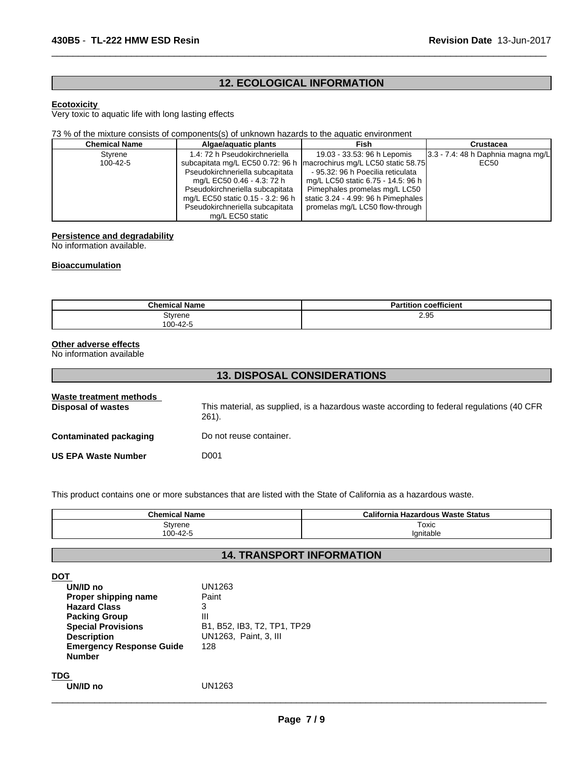# **12. ECOLOGICAL INFORMATION**

 $\overline{\phantom{a}}$  ,  $\overline{\phantom{a}}$  ,  $\overline{\phantom{a}}$  ,  $\overline{\phantom{a}}$  ,  $\overline{\phantom{a}}$  ,  $\overline{\phantom{a}}$  ,  $\overline{\phantom{a}}$  ,  $\overline{\phantom{a}}$  ,  $\overline{\phantom{a}}$  ,  $\overline{\phantom{a}}$  ,  $\overline{\phantom{a}}$  ,  $\overline{\phantom{a}}$  ,  $\overline{\phantom{a}}$  ,  $\overline{\phantom{a}}$  ,  $\overline{\phantom{a}}$  ,  $\overline{\phantom{a}}$ 

## **Ecotoxicity**

Very toxic to aquatic life with long lasting effects

## 73 % of the mixture consists of components(s) of unknown hazards to the aquatic environment

| <b>Chemical Name</b> | Algae/aguatic plants              | Fish                                | Crustacea                             |
|----------------------|-----------------------------------|-------------------------------------|---------------------------------------|
| Stvrene              | 1.4: 72 h Pseudokirchneriella     | 19.03 - 33.53: 96 h Lepomis         | $3.3 - 7.4$ : 48 h Daphnia magna mg/L |
| $100 - 42 - 5$       | subcapitata mg/L EC50 0.72: 96 h  | macrochirus mg/L LC50 static 58.75  | EC50                                  |
|                      | Pseudokirchneriella subcapitata   | - 95.32: 96 h Poecilia reticulata   |                                       |
|                      | mg/L EC50 0.46 - 4.3: 72 h        | mg/L LC50 static 6.75 - 14.5: 96 h  |                                       |
|                      | Pseudokirchneriella subcapitata   | Pimephales promelas mg/L LC50       |                                       |
|                      | mg/L EC50 static 0.15 - 3.2: 96 h | static 3.24 - 4.99: 96 h Pimephales |                                       |
|                      | Pseudokirchneriella subcapitata   | promelas mg/L LC50 flow-through     |                                       |
|                      | mg/L EC50 static                  |                                     |                                       |

# **Persistence and degradability**

No information available.

#### **Bioaccumulation**

| <b>Chemical Name</b> | <b>Partition coefficient</b> |
|----------------------|------------------------------|
| Styrene              | 2.95                         |
| 100-42-5             |                              |

# **Other adverse effects**

No information available

| <b>13. DISPOSAL CONSIDERATIONS</b>            |                                                                                                    |  |
|-----------------------------------------------|----------------------------------------------------------------------------------------------------|--|
| Waste treatment methods<br>Disposal of wastes | This material, as supplied, is a hazardous waste according to federal regulations (40 CFR<br>261). |  |
| Contaminated packaging                        | Do not reuse container.                                                                            |  |
| <b>US EPA Waste Number</b>                    | D001                                                                                               |  |

This product contains one or more substances that are listed with the State of California as a hazardous waste.

| <b>Chemical Name</b> | California Hazardous Waste Status |
|----------------------|-----------------------------------|
| Styrene              | Toxic                             |
| 100-42-5             | Ianitable                         |

# **14. TRANSPORT INFORMATION**

| DOT<br>UN/ID no<br>Proper shipping name<br><b>Hazard Class</b><br><b>Packing Group</b><br><b>Special Provisions</b><br><b>Description</b><br><b>Emergency Response Guide</b><br><b>Number</b> | UN1263<br>Paint<br>3<br>Ш<br>B1, B52, IB3, T2, TP1, TP29<br>UN1263, Paint, 3, III<br>128 |
|-----------------------------------------------------------------------------------------------------------------------------------------------------------------------------------------------|------------------------------------------------------------------------------------------|
| TDG<br>UN/ID no                                                                                                                                                                               | UN1263                                                                                   |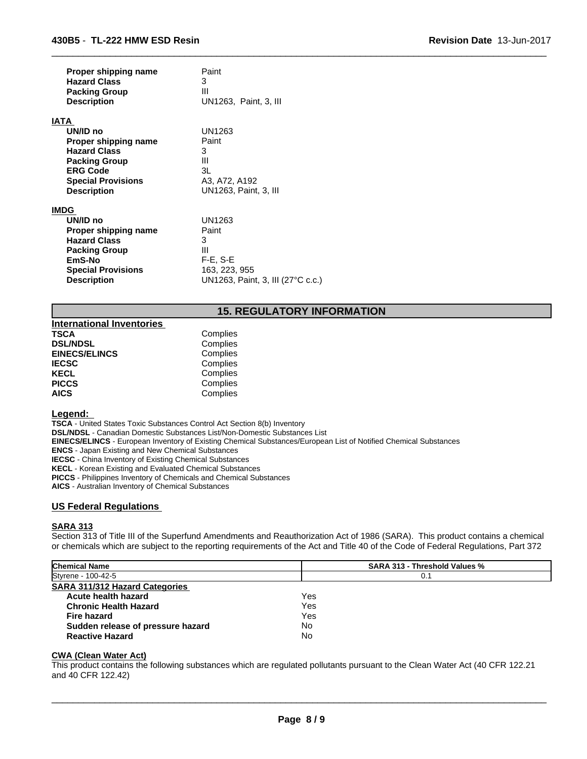| Proper shipping name                                                                                                                                        | Paint                                                                                          |
|-------------------------------------------------------------------------------------------------------------------------------------------------------------|------------------------------------------------------------------------------------------------|
| <b>Hazard Class</b>                                                                                                                                         | 3                                                                                              |
| <b>Packing Group</b>                                                                                                                                        | Ш                                                                                              |
| <b>Description</b>                                                                                                                                          | UN1263, Paint, 3, III                                                                          |
| IATA                                                                                                                                                        |                                                                                                |
| UN/ID no                                                                                                                                                    | UN1263                                                                                         |
| Proper shipping name                                                                                                                                        | Paint                                                                                          |
| <b>Hazard Class</b>                                                                                                                                         | 3                                                                                              |
| <b>Packing Group</b>                                                                                                                                        | Ш                                                                                              |
| <b>ERG Code</b>                                                                                                                                             | 3L                                                                                             |
| <b>Special Provisions</b>                                                                                                                                   | A3, A72, A192                                                                                  |
| <b>Description</b>                                                                                                                                          | UN1263, Paint, 3, III                                                                          |
| <b>IMDG</b><br>UN/ID no<br>Proper shipping name<br><b>Hazard Class</b><br><b>Packing Group</b><br>EmS-No<br><b>Special Provisions</b><br><b>Description</b> | UN1263<br>Paint<br>3<br>Ш<br>$F-E$ , S-E<br>163, 223, 955<br>UN1263, Paint, 3, III (27°C c.c.) |

# **15. REGULATORY INFORMATION**

 $\overline{\phantom{a}}$  ,  $\overline{\phantom{a}}$  ,  $\overline{\phantom{a}}$  ,  $\overline{\phantom{a}}$  ,  $\overline{\phantom{a}}$  ,  $\overline{\phantom{a}}$  ,  $\overline{\phantom{a}}$  ,  $\overline{\phantom{a}}$  ,  $\overline{\phantom{a}}$  ,  $\overline{\phantom{a}}$  ,  $\overline{\phantom{a}}$  ,  $\overline{\phantom{a}}$  ,  $\overline{\phantom{a}}$  ,  $\overline{\phantom{a}}$  ,  $\overline{\phantom{a}}$  ,  $\overline{\phantom{a}}$ 

| <b>International Inventories</b> |          |  |
|----------------------------------|----------|--|
| TSCA                             | Complies |  |
| <b>DSL/NDSL</b>                  | Complies |  |
| <b>EINECS/ELINCS</b>             | Complies |  |
| <b>IECSC</b>                     | Complies |  |
| KECL                             | Complies |  |
| <b>PICCS</b>                     | Complies |  |
| <b>AICS</b>                      | Complies |  |

#### **Legend:**

**TSCA** - United States Toxic Substances Control Act Section 8(b) Inventory **DSL/NDSL** - Canadian Domestic Substances List/Non-Domestic Substances List **EINECS/ELINCS** - European Inventory of Existing Chemical Substances/European List of Notified Chemical Substances **ENCS** - Japan Existing and New Chemical Substances **IECSC** - China Inventory of Existing Chemical Substances **KECL** - Korean Existing and Evaluated Chemical Substances

**PICCS** - Philippines Inventory of Chemicals and Chemical Substances

**AICS** - Australian Inventory of Chemical Substances

# **US Federal Regulations**

#### **SARA 313**

Section 313 of Title III of the Superfund Amendments and Reauthorization Act of 1986 (SARA). This product contains a chemical or chemicals which are subject to the reporting requirements of the Act and Title 40 of the Code of Federal Regulations, Part 372

| <b>Chemical Name</b>                  | <b>SARA 313 - Threshold Values %</b> |  |
|---------------------------------------|--------------------------------------|--|
| Styrene - 100-42-5                    | 0.1                                  |  |
| <b>SARA 311/312 Hazard Categories</b> |                                      |  |
| Acute health hazard                   | Yes                                  |  |
| <b>Chronic Health Hazard</b>          | Yes                                  |  |
| Fire hazard                           | Yes                                  |  |
| Sudden release of pressure hazard     | No                                   |  |
| <b>Reactive Hazard</b>                | No                                   |  |

#### **CWA (Clean Water Act)**

This product contains the following substances which are regulated pollutants pursuant to the Clean Water Act (40 CFR 122.21 and 40 CFR 122.42)